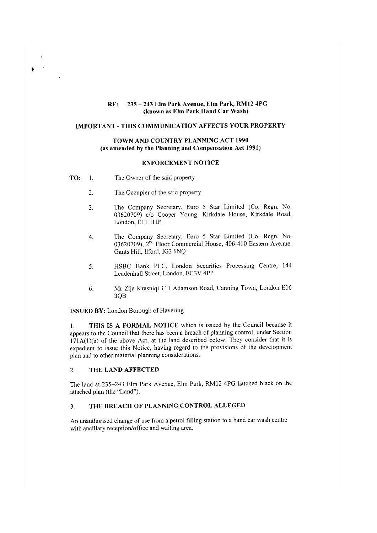## **RE: 235- 243 Elm Park Avenue, Elm Park, RM12 4PG (known as Elm Park Hand Car Wash)**

# **IMPORTANT-THIS COMMUNICATION AFFECTS YOUR PROPERTY**

# **TOWN AND COUNTRY PLANNING ACT 1990** (as **amended by the Planning and Compensation Act 1991)**

### **ENFORCEMENT NOTICE**

**TO:** I. The Owner of the said property

 $\bullet$ 

- 2. The Occupier of the said property
- 3. The Company Secretary, Euro 5 Star Limited (Co. Regn. No. 03620709) *clo* Cooper Young, Kirkdale House, Kirkdale Road, London, E11 1HP
- 4. The Company Secretary, Euro 5 Star Limited (Co. Regn. No. 03620709), 2<sup>nd</sup> Floor Commercial House, 406-410 Eastern Avenue, Gants Hill, Ilford, IG2 6NQ
- 5. HSBC Bank PLC, London Securities Processing Centre, 144 Leadenhall Street, London, EC3V 4PP
- 6. Mr Zija Krasniqi 111 Adamson Road, Canning Town, London El6 3QB

**ISSUED BY:** London Borough of Havering

I. **THIS IS A FORMAL NOTICE** which is issued by the Council because it appears to the Council that there has been a breach of planning control, under Section  $171A(1)(a)$  of the above Act, at the land described below. They consider that it is expedient to issue this Notice, having regard to the provisions of the development plan and to other material planning considerations.

#### 2. **THE LAND AFFECTED**

The land at 235-243 Elm Park Avenue, Elm Park, RMl2 4PG hatched black on the attached plan (the "Land").

# 3. **THE BREACH OF PLANNING CONTROL ALLEGED**

An unauthorised change of use from a petrol filling station to a hand car wash centre with ancillary reception/office and waiting area.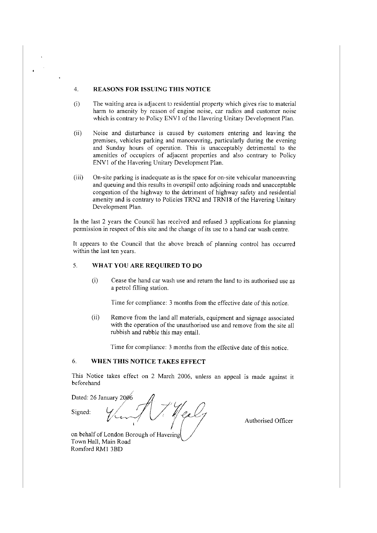#### 4. **REASONS FOR ISSUING THIS NOTICE**

- (i) The waiting area is adjacent to residential property which gives rise to material harm to amenity by reason of engine noise, car radios and customer noise which is contrary to Policy ENVJ of the Havering Unitary Development Plan.
- (ii) Noise and disturbance is caused by customers entering and leaving the premises, vehicles parking and manoeuvring, particularly during the evening and Sunday hours of operation. This is unacceptably detrimental to the amenities of occupiers of adjacent properties and also contrary to Policy ENVI of the Havering Unitary Development Plan.
- (iii) On-site parking is inadequate as is the space for on-site vehicular manoeuvring and queuing and this results in overspill onto adjoining roads and unacceptable congestion of the highway to the detriment of highway safety and residential amenity and is contrary to Policies TRN2 and TRN 18 of the Havering Unitary Development Plan.

In the last 2 years the Council has received and refused 3 applications for planning permission in respect of this site and the change of its use to a hand car wash centre.

It appears to the Council that the above breach of planning control has occurred within the last ten years.

# 5. **WHAT YOU ARE REQUIRED TO DO**

(i) Cease the hand car wash use and return the land to its authorised use as a petrol filling station.

Time for compliance: 3 months from the effective date of this notice.

(ii) Remove from the land all materials, equipment and signage associated with the operation of the unauthorised use and remove from the site all rubbish and rubble this may entail.

Time for compliance: 3 months from the effective date of this notice.

# 6. **WHEN THIS NOTICE TAKES EFFECT**

This Notice takes effect on 2 March 2006, unless an appeal is made against it beforehand

Dated: 26 January 2006 l gal Signed:

Authorised Officer

Romford RMI 3BD on behalf of London Borough of Havering Town Hall, Main Road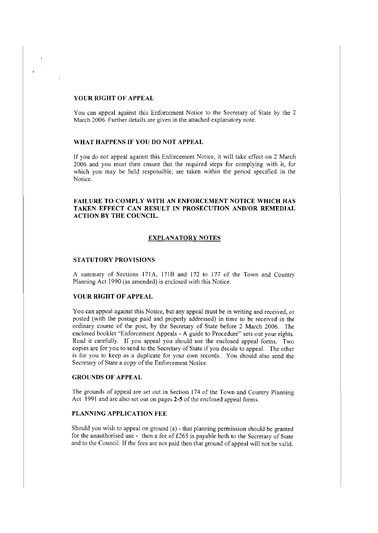### **YOUR RIGHT OF APPEAL**

You can appeal against this Enforcement Notice to the Secretary of State by the 2 March 2006. Further details are given in the attached explanatory note.

# **WHAT HAPPENS IF YOU DO NOT APPEAL**

If you do not appeal against this Enforcement Notice, it will take effect on 2 March 2006 and you must then ensure that the required steps for complying with it, for which you may be held responsible, are taken within the period specified in the Notice.

# **FAILURE TO COMPLY WITH AN ENFORCEMENT NOTICE WHICH HAS TAKEN EFFECT CAN RESULT IN PROSECUTION AND/OR REMEDIAL ACTION BY THE COUNCIL.**

### **EXPLANATORY NOTES**

# **STATUTORY PROVISIONS**

A summary of Sections 171A, 171B and 172 to 177 of the Town and Country Planning Act 1990 (as amended) is enclosed with this Notice.

#### **YOUR RIGHT OF APPEAL**

You can appeal against this Notice, but any appeal must be in writing and received, or posted (with the postage paid and properly addressed) in time to be received in the ordinary course of the post, by the Secretary of State before 2 March 2006. The enclosed booklet "Enforcement Appeals - A guide to Procedure" sets out your rights. Read it carefully. If you appeal you should use the enclosed appeal forms. Two copies are for you to send to the Secretary of State if you decide to appeal. The other is for you to keep as a duplicate for your own records. You should also send the Secretary of State a copy of the Enforcement Notice.

#### **GROUNDS OF APPEAL**

The grounds of appeal are set out in Section 174 of the Town and Country Planning Act 1991 and are also set out on pages **2-5** of the enclosed appeal forms.

# **PLANNING APPLICATION FEE**

Should you wish to appeal on ground (a) - that planning permission should be granted for the unauthorised use - then a fee of  $£265$  is payable both to the Secretary of State and to the Council. If the fees are not paid then that ground of appeal will not be valid.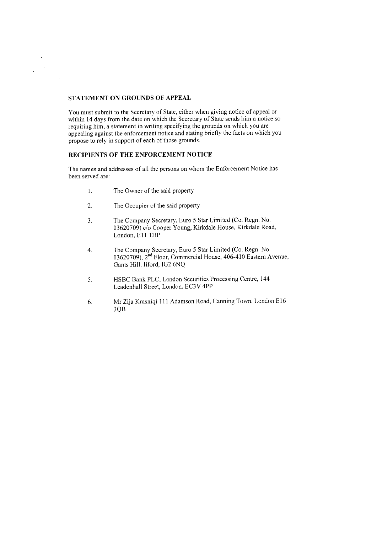# **STATEMENT ON GROUNDS OF APPEAL**

 $\mathbf{r}$ 

You must submit to the Secretary of State, either when giving notice of appeal or within 14 days from the date on which the Secretary of State sends him a notice so requiring him, a statement in writing specifying the grounds on which you are appealing against the enforcement notice and stating briefly the facts on which you propose to rely in support of each of those grounds.

# **RECIPIENTS OF THE ENFORCEMENT NOTICE**

The names and addresses of all the persons on whom the Enforcement Notice has been served are:

- 1. The Owner of the said property
- 2. The Occupier of the said property
- 3. The Company Secretary, Euro 5 Star Limited (Co. Regn. No. 03620709) c/o Cooper Young, Kirkdale House, Kirkdale Road, London, E11 1HP
- 4. The Company Secretary, Euro 5 Star Limited (Co. Regn. No. 03620709), 2"d Floor, Commercial House, 406-410 Eastern Avenue, Gants Hill, Ilford, IG2 6NQ
- 5. HSBC Bank PLC, London Securities Processing Centre, 144 Leadenhall Street, London, EC3V 4PP
- 6. Mr Zija Krasniqi 111 Adamson Road, Canning Town, London El6 3QB